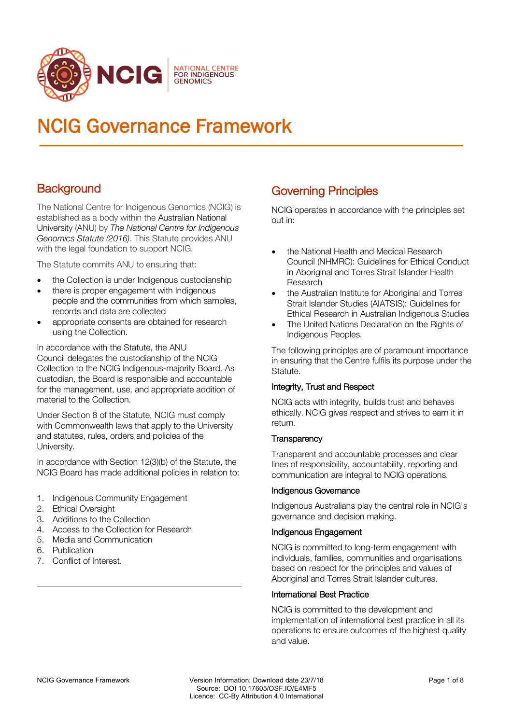

# NCIG Governance Framework

# **Background**

The National Centre for Indigenous Genomics (NCIG) is established as a body within the Australian National University (ANU) by *The National Centre for Indigenous Genomics Statute (2016)*. This Statute provides ANU with the legal foundation to support NCIG.

The Statute commits ANU to ensuring that:

- the Collection is under Indigenous custodianship
- there is proper engagement with Indigenous people and the communities from which samples, records and data are collected
- appropriate consents are obtained for research using the Collection.

In accordance with the Statute, the ANU Council delegates the custodianship of the NCIG Collection to the NCIG Indigenous-majority Board. As custodian, the Board is responsible and accountable for the management, use, and appropriate addition of material to the Collection.

Under Section 8 of the Statute, NCIG must comply with Commonwealth laws that apply to the University and statutes, rules, orders and policies of the University.

In accordance with Section 12(3)(b) of the Statute, the NCIG Board has made additional policies in relation to:

- 1. Indigenous Community Engagement
- 2. Ethical Oversight
- 3. Additions to the Collection
- 4. Access to the Collection for Research
- 5. Media and Communication
- 6. Publication
- 7. Conflict of Interest.

# Governing Principles

NCIG operates in accordance with the principles set out in:

- the National Health and Medical Research Council (NHMRC): Guidelines for Ethical Conduct in Aboriginal and Torres Strait Islander Health Research
- the Australian Institute for Aboriginal and Torres Strait Islander Studies (AIATSIS): Guidelines for Ethical Research in Australian Indigenous Studies
- The United Nations Declaration on the Rights of Indigenous Peoples.

The following principles are of paramount importance in ensuring that the Centre fulfils its purpose under the Statute.

## Integrity, Trust and Respect

NCIG acts with integrity, builds trust and behaves ethically. NCIG gives respect and strives to earn it in return.

## **Transparency**

Transparent and accountable processes and clear lines of responsibility, accountability, reporting and communication are integral to NCIG operations.

## Indigenous Governance

Indigenous Australians play the central role in NCIG's governance and decision making.

## Indigenous Engagement

NCIG is committed to long-term engagement with individuals, families, communities and organisations based on respect for the principles and values of Aboriginal and Torres Strait Islander cultures.

## International Best Practice

NCIG is committed to the development and implementation of international best practice in all its operations to ensure outcomes of the highest quality and value.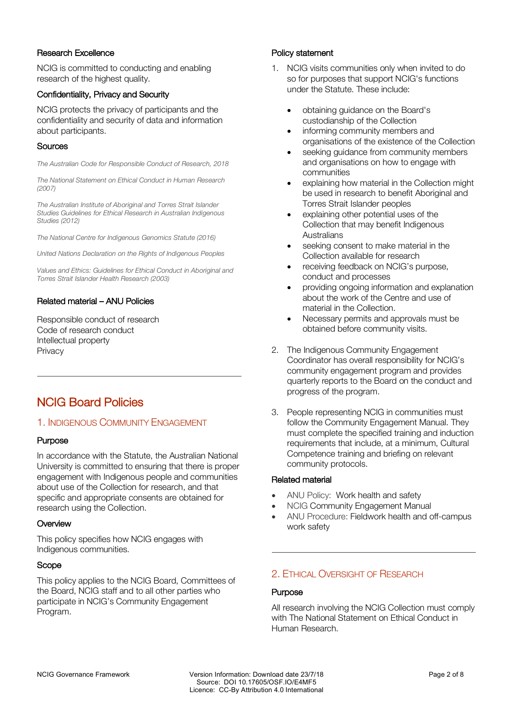## Research Excellence

NCIG is committed to conducting and enabling research of the highest quality.

## Confidentiality, Privacy and Security

NCIG protects the privacy of participants and the confidentiality and security of data and information about participants.

#### **Sources**

*The Australian Code for Responsible Conduct of Research, 2018*

*The National Statement on Ethical Conduct in Human Research (2007)*

*The Australian Institute of Aboriginal and Torres Strait Islander Studies Guidelines for Ethical Research in Australian Indigenous Studies (2012)*

*The National Centre for Indigenous Genomics Statute (2016)*

*United Nations Declaration on the Rights of Indigenous Peoples*

*Values and Ethics: Guidelines for Ethical Conduct in Aboriginal and Torres Strait Islander Health Research (2003)*

## Related material – ANU Policies

Responsible conduct of research Code of research conduct Intellectual property **Privacy** 

## NCIG Board Policies

## 1. INDIGENOUS COMMUNITY ENGAGEMENT

## Purpose

In accordance with the Statute, the Australian National University is committed to ensuring that there is proper engagement with Indigenous people and communities about use of the Collection for research, and that specific and appropriate consents are obtained for research using the Collection.

#### **Overview**

This policy specifies how NCIG engages with Indigenous communities.

#### Scope

This policy applies to the NCIG Board, Committees of the Board, NCIG staff and to all other parties who participate in NCIG's Community Engagement Program.

#### Policy statement

- 1. NCIG visits communities only when invited to do so for purposes that support NCIG's functions under the Statute. These include:
	- obtaining guidance on the Board's custodianship of the Collection
	- informing community members and organisations of the existence of the Collection
	- seeking guidance from community members and organisations on how to engage with communities
	- explaining how material in the Collection might be used in research to benefit Aboriginal and Torres Strait Islander peoples
	- explaining other potential uses of the Collection that may benefit Indigenous Australians
	- seeking consent to make material in the Collection available for research
	- receiving feedback on NCIG's purpose, conduct and processes
	- providing ongoing information and explanation about the work of the Centre and use of material in the Collection.
	- Necessary permits and approvals must be obtained before community visits.
- 2. The Indigenous Community Engagement Coordinator has overall responsibility for NCIG's community engagement program and provides quarterly reports to the Board on the conduct and progress of the program.
- 3. People representing NCIG in communities must follow the Community Engagement Manual. They must complete the specified training and induction requirements that include, at a minimum, Cultural Competence training and briefing on relevant community protocols.

#### Related material

- ANU Policy: Work health and safety
- NCIG Community Engagement Manual
- ANU Procedure: Fieldwork health and off-campus work safety

## 2. ETHICAL OVERSIGHT OF RESEARCH

#### Purpose

All research involving the NCIG Collection must comply with The National Statement on Ethical Conduct in Human Research.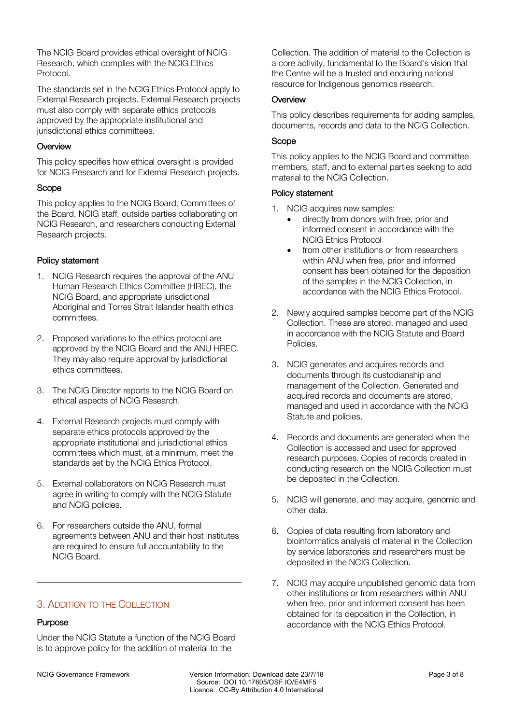The NCIG Board provides ethical oversight of NCIG Research, which complies with the NCIG Ethics Protocol.

The standards set in the NCIG Ethics Protocol apply to External Research projects. External Research projects must also comply with separate ethics protocols approved by the appropriate institutional and jurisdictional ethics committees.

## **Overview**

This policy specifies how ethical oversight is provided for NCIG Research and for External Research projects.

## Scope

This policy applies to the NCIG Board, Committees of the Board, NCIG staff, outside parties collaborating on NCIG Research, and researchers conducting External Research projects.

## Policy statement

- 1. NCIG Research requires the approval of the ANU Human Research Ethics Committee (HREC), the NCIG Board, and appropriate jurisdictional Aboriginal and Torres Strait Islander health ethics committees.
- 2. Proposed variations to the ethics protocol are approved by the NCIG Board and the ANU HREC. They may also require approval by jurisdictional ethics committees.
- 3. The NCIG Director reports to the NCIG Board on ethical aspects of NCIG Research.
- 4. External Research projects must comply with separate ethics protocols approved by the appropriate institutional and jurisdictional ethics committees which must, at a minimum, meet the standards set by the NCIG Ethics Protocol.
- 5. External collaborators on NCIG Research must agree in writing to comply with the NCIG Statute and NCIG policies.
- 6. For researchers outside the ANU, formal agreements between ANU and their host institutes are required to ensure full accountability to the NCIG Board.

## 3. ADDITION TO THE COLLECTION

## Purpose

Under the NCIG Statute a function of the NCIG Board is to approve policy for the addition of material to the

Collection. The addition of material to the Collection is a core activity, fundamental to the Board's vision that the Centre will be a trusted and enduring national resource for Indigenous genomics research.

#### **Overview**

This policy describes requirements for adding samples, documents, records and data to the NCIG Collection.

## Scope

This policy applies to the NCIG Board and committee members, staff, and to external parties seeking to add material to the NCIG Collection.

## Policy statement

- 1. NCIG acquires new samples:
	- directly from donors with free, prior and informed consent in accordance with the NCIG Ethics Protocol
	- from other institutions or from researchers within ANU when free, prior and informed consent has been obtained for the deposition of the samples in the NCIG Collection, in accordance with the NCIG Ethics Protocol.
- 2. Newly acquired samples become part of the NCIG Collection. These are stored, managed and used in accordance with the NCIG Statute and Board Policies.
- 3. NCIG generates and acquires records and documents through its custodianship and management of the Collection. Generated and acquired records and documents are stored, managed and used in accordance with the NCIG Statute and policies.
- 4. Records and documents are generated when the Collection is accessed and used for approved research purposes. Copies of records created in conducting research on the NCIG Collection must be deposited in the Collection.
- 5. NCIG will generate, and may acquire, genomic and other data.
- 6. Copies of data resulting from laboratory and bioinformatics analysis of material in the Collection by service laboratories and researchers must be deposited in the NCIG Collection.
- 7. NCIG may acquire unpublished genomic data from other institutions or from researchers within ANU when free, prior and informed consent has been obtained for its deposition in the Collection, in accordance with the NCIG Ethics Protocol.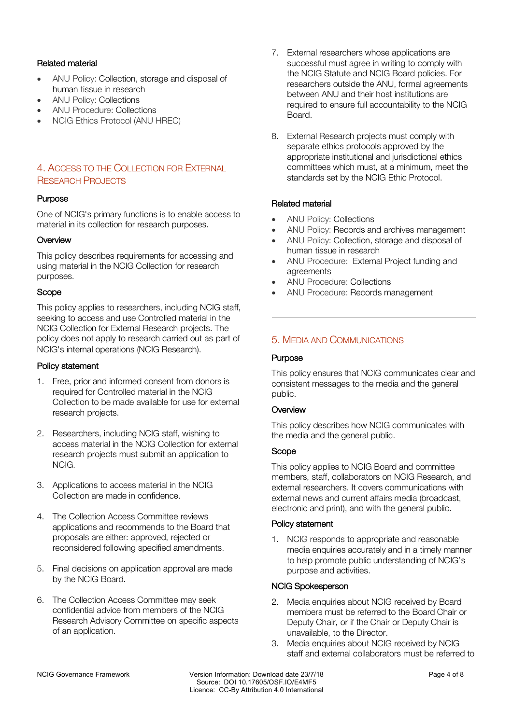## Related material

- ANU Policy: Collection, storage and disposal of human tissue in research
- ANU Policy: Collections
- ANU Procedure: Collections
- NCIG Ethics Protocol (ANU HREC)

## 4. ACCESS TO THE COLLECTION FOR EXTERNAL RESEARCH PROJECTS

## Purpose

One of NCIG's primary functions is to enable access to material in its collection for research purposes.

## **Overview**

This policy describes requirements for accessing and using material in the NCIG Collection for research purposes.

## Scope

This policy applies to researchers, including NCIG staff, seeking to access and use Controlled material in the NCIG Collection for External Research projects. The policy does not apply to research carried out as part of NCIG's internal operations (NCIG Research).

#### Policy statement

- 1. Free, prior and informed consent from donors is required for Controlled material in the NCIG Collection to be made available for use for external research projects.
- 2. Researchers, including NCIG staff, wishing to access material in the NCIG Collection for external research projects must submit an application to NCIG.
- 3. Applications to access material in the NCIG Collection are made in confidence.
- 4. The Collection Access Committee reviews applications and recommends to the Board that proposals are either: approved, rejected or reconsidered following specified amendments.
- 5. Final decisions on application approval are made by the NCIG Board.
- 6. The Collection Access Committee may seek confidential advice from members of the NCIG Research Advisory Committee on specific aspects of an application.
- 7. External researchers whose applications are successful must agree in writing to comply with the NCIG Statute and NCIG Board policies. For researchers outside the ANU, formal agreements between ANU and their host institutions are required to ensure full accountability to the NCIG Board.
- 8. External Research projects must comply with separate ethics protocols approved by the appropriate institutional and jurisdictional ethics committees which must, at a minimum, meet the standards set by the NCIG Ethic Protocol.

## Related material

- ANU Policy: Collections
- ANU Policy: Records and archives management
- ANU Policy: Collection, storage and disposal of human tissue in research
- ANU Procedure: External Project funding and agreements
- ANU Procedure: Collections
- ANU Procedure: Records management

## 5. MEDIA AND COMMUNICATIONS

## Purpose

This policy ensures that NCIG communicates clear and consistent messages to the media and the general public.

## **Overview**

This policy describes how NCIG communicates with the media and the general public.

## Scope

This policy applies to NCIG Board and committee members, staff, collaborators on NCIG Research, and external researchers. It covers communications with external news and current affairs media (broadcast, electronic and print), and with the general public.

## Policy statement

1. NCIG responds to appropriate and reasonable media enquiries accurately and in a timely manner to help promote public understanding of NCIG's purpose and activities.

## NCIG Spokesperson

- 2. Media enquiries about NCIG received by Board members must be referred to the Board Chair or Deputy Chair, or if the Chair or Deputy Chair is unavailable, to the Director.
- 3. Media enquiries about NCIG received by NCIG staff and external collaborators must be referred to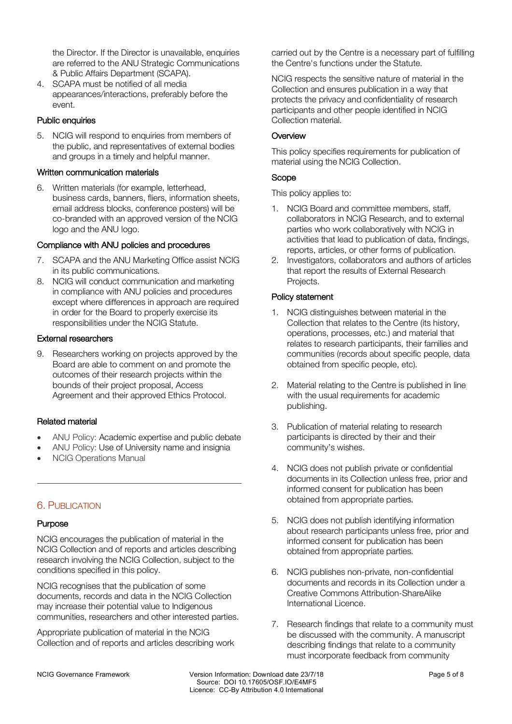the Director. If the Director is unavailable, enquiries are referred to the ANU Strategic Communications & Public Affairs Department (SCAPA).

4. SCAPA must be notified of all media appearances/interactions, preferably before the event.

#### Public enquiries

5. NCIG will respond to enquiries from members of the public, and representatives of external bodies and groups in a timely and helpful manner.

#### Written communication materials

6. Written materials (for example, letterhead, business cards, banners, fliers, information sheets, email address blocks, conference posters) will be co-branded with an approved version of the NCIG logo and the ANU logo.

## Compliance with ANU policies and procedures

- 7. SCAPA and the ANU Marketing Office assist NCIG in its public communications.
- 8. NCIG will conduct communication and marketing in compliance with ANU policies and procedures except where differences in approach are required in order for the Board to properly exercise its responsibilities under the NCIG Statute.

#### External researchers

9. Researchers working on projects approved by the Board are able to comment on and promote the outcomes of their research projects within the bounds of their project proposal, Access Agreement and their approved Ethics Protocol.

## Related material

- ANU Policy: Academic expertise and public debate
- ANU Policy: Use of University name and insignia
- NCIG Operations Manual

## 6. PUBLICATION

#### **Purpose**

NCIG encourages the publication of material in the NCIG Collection and of reports and articles describing research involving the NCIG Collection, subject to the conditions specified in this policy.

NCIG recognises that the publication of some documents, records and data in the NCIG Collection may increase their potential value to Indigenous communities, researchers and other interested parties.

Appropriate publication of material in the NCIG Collection and of reports and articles describing work carried out by the Centre is a necessary part of fulfilling the Centre's functions under the Statute.

NCIG respects the sensitive nature of material in the Collection and ensures publication in a way that protects the privacy and confidentiality of research participants and other people identified in NCIG Collection material.

## **Overview**

This policy specifies requirements for publication of material using the NCIG Collection.

## Scope

This policy applies to:

- 1. NCIG Board and committee members, staff, collaborators in NCIG Research, and to external parties who work collaboratively with NCIG in activities that lead to publication of data, findings, reports, articles, or other forms of publication.
- 2. Investigators, collaborators and authors of articles that report the results of External Research Projects.

## Policy statement

- 1. NCIG distinguishes between material in the Collection that relates to the Centre (its history, operations, processes, etc.) and material that relates to research participants, their families and communities (records about specific people, data obtained from specific people, etc).
- 2. Material relating to the Centre is published in line with the usual requirements for academic publishing.
- 3. Publication of material relating to research participants is directed by their and their community's wishes.
- 4. NCIG does not publish private or confidential documents in its Collection unless free, prior and informed consent for publication has been obtained from appropriate parties.
- 5. NCIG does not publish identifying information about research participants unless free, prior and informed consent for publication has been obtained from appropriate parties.
- 6. NCIG publishes non-private, non-confidential documents and records in its Collection under a Creative Commons Attribution-ShareAlike International Licence.
- 7. Research findings that relate to a community must be discussed with the community. A manuscript describing findings that relate to a community must incorporate feedback from community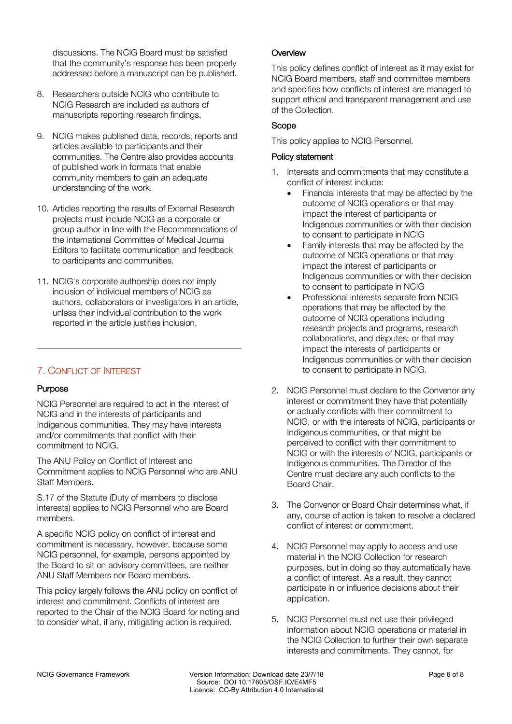discussions. The NCIG Board must be satisfied that the community's response has been properly addressed before a manuscript can be published.

- 8. Researchers outside NCIG who contribute to NCIG Research are included as authors of manuscripts reporting research findings.
- 9. NCIG makes published data, records, reports and articles available to participants and their communities. The Centre also provides accounts of published work in formats that enable community members to gain an adequate understanding of the work.
- 10. Articles reporting the results of External Research projects must include NCIG as a corporate or group author in line with the Recommendations of the International Committee of Medical Journal Editors to facilitate communication and feedback to participants and communities.
- 11. NCIG's corporate authorship does not imply inclusion of individual members of NCIG as authors, collaborators or investigators in an article, unless their individual contribution to the work reported in the article justifies inclusion.

## 7. CONFLICT OF INTEREST

## Purpose

NCIG Personnel are required to act in the interest of NCIG and in the interests of participants and Indigenous communities. They may have interests and/or commitments that conflict with their commitment to NCIG.

The ANU Policy on Conflict of Interest and Commitment applies to NCIG Personnel who are ANU Staff Members.

S.17 of the Statute (Duty of members to disclose interests) applies to NCIG Personnel who are Board members.

A specific NCIG policy on conflict of interest and commitment is necessary, however, because some NCIG personnel, for example, persons appointed by the Board to sit on advisory committees, are neither ANU Staff Members nor Board members.

This policy largely follows the ANU policy on conflict of interest and commitment. Conflicts of interest are reported to the Chair of the NCIG Board for noting and to consider what, if any, mitigating action is required.

## **Overview**

This policy defines conflict of interest as it may exist for NCIG Board members, staff and committee members and specifies how conflicts of interest are managed to support ethical and transparent management and use of the Collection.

## Scope

This policy applies to NCIG Personnel.

## Policy statement

- 1. Interests and commitments that may constitute a conflict of interest include:
	- Financial interests that may be affected by the outcome of NCIG operations or that may impact the interest of participants or Indigenous communities or with their decision to consent to participate in NCIG
	- Family interests that may be affected by the outcome of NCIG operations or that may impact the interest of participants or Indigenous communities or with their decision to consent to participate in NCIG
	- Professional interests separate from NCIG operations that may be affected by the outcome of NCIG operations including research projects and programs, research collaborations, and disputes; or that may impact the interests of participants or Indigenous communities or with their decision to consent to participate in NCIG.
- 2. NCIG Personnel must declare to the Convenor any interest or commitment they have that potentially or actually conflicts with their commitment to NCIG, or with the interests of NCIG, participants or Indigenous communities, or that might be perceived to conflict with their commitment to NCIG or with the interests of NCIG, participants or Indigenous communities. The Director of the Centre must declare any such conflicts to the Board Chair.
- 3. The Convenor or Board Chair determines what, if any, course of action is taken to resolve a declared conflict of interest or commitment.
- 4. NCIG Personnel may apply to access and use material in the NCIG Collection for research purposes, but in doing so they automatically have a conflict of interest. As a result, they cannot participate in or influence decisions about their application.
- 5. NCIG Personnel must not use their privileged information about NCIG operations or material in the NCIG Collection to further their own separate interests and commitments. They cannot, for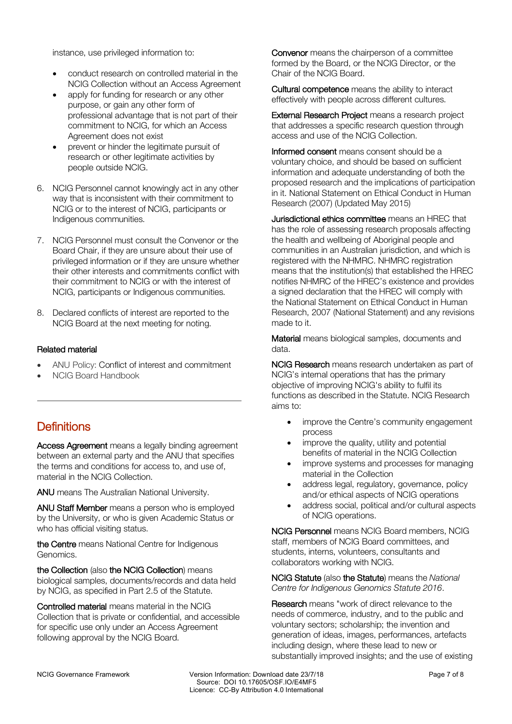instance, use privileged information to:

- conduct research on controlled material in the NCIG Collection without an Access Agreement
- apply for funding for research or any other purpose, or gain any other form of professional advantage that is not part of their commitment to NCIG, for which an Access Agreement does not exist
- prevent or hinder the legitimate pursuit of research or other legitimate activities by people outside NCIG.
- 6. NCIG Personnel cannot knowingly act in any other way that is inconsistent with their commitment to NCIG or to the interest of NCIG, participants or Indigenous communities.
- 7. NCIG Personnel must consult the Convenor or the Board Chair, if they are unsure about their use of privileged information or if they are unsure whether their other interests and commitments conflict with their commitment to NCIG or with the interest of NCIG, participants or Indigenous communities.
- 8. Declared conflicts of interest are reported to the NCIG Board at the next meeting for noting.

## Related material

- ANU Policy: Conflict of interest and commitment
- NCIG Board Handbook

# **Definitions**

Access Agreement means a legally binding agreement between an external party and the ANU that specifies the terms and conditions for access to, and use of, material in the NCIG Collection.

ANU means The Australian National University.

ANU Staff Member means a person who is employed by the University, or who is given Academic Status or who has official visiting status.

the Centre means National Centre for Indigenous Genomics.

the Collection (also the NCIG Collection) means biological samples, documents/records and data held by NCIG, as specified in Part 2.5 of the Statute.

Controlled material means material in the NCIG Collection that is private or confidential, and accessible for specific use only under an Access Agreement following approval by the NCIG Board.

Convenor means the chairperson of a committee formed by the Board, or the NCIG Director, or the Chair of the NCIG Board.

Cultural competence means the ability to interact effectively with people across different cultures.

External Research Project means a research project that addresses a specific research question through access and use of the NCIG Collection.

Informed consent means consent should be a voluntary choice, and should be based on sufficient information and adequate understanding of both the proposed research and the implications of participation in it. National Statement on Ethical Conduct in Human Research (2007) (Updated May 2015)

Jurisdictional ethics committee means an HREC that has the role of assessing research proposals affecting the health and wellbeing of Aboriginal people and communities in an Australian jurisdiction, and which is registered with the NHMRC. NHMRC registration means that the institution(s) that established the HREC notifies NHMRC of the HREC's existence and provides a signed declaration that the HREC will comply with the National Statement on Ethical Conduct in Human Research, 2007 (National Statement) and any revisions made to it.

Material means biological samples, documents and data.

NCIG Research means research undertaken as part of NCIG's internal operations that has the primary objective of improving NCIG's ability to fulfil its functions as described in the Statute. NCIG Research aims to:

- improve the Centre's community engagement process
- improve the quality, utility and potential benefits of material in the NCIG Collection
- improve systems and processes for managing material in the Collection
- address legal, regulatory, governance, policy and/or ethical aspects of NCIG operations
- address social, political and/or cultural aspects of NCIG operations.

NCIG Personnel means NCIG Board members, NCIG staff, members of NCIG Board committees, and students, interns, volunteers, consultants and collaborators working with NCIG.

NCIG Statute (also the Statute) means the *National Centre for Indigenous Genomics Statute 2016*.

Research means "work of direct relevance to the needs of commerce, industry, and to the public and voluntary sectors; scholarship; the invention and generation of ideas, images, performances, artefacts including design, where these lead to new or substantially improved insights; and the use of existing